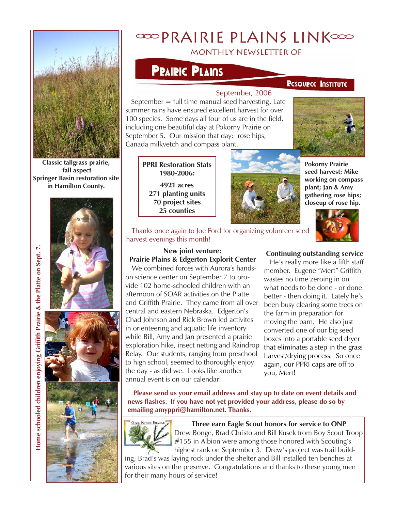

**Classic tallgrass prairie, fall aspect Springer Basin restoration site in Hamilton County.**





**Home schooled children enjoying Griffith Prairie & the Platte on Sept. 7.**

Home schooled children enjoying Griffith Prairie & the Platte on Sept. 7.

# **ODPRAIRIE PLAINS LINKOOD**

# monthly newsletter of

# **PRAIRIC PLAINS**

### **PESOUPCE INSTITUTE**

#### September, 2006

September  $=$  full time manual seed harvesting. Late summer rains have ensured excellent harvest for over 100 species. Some days all four of us are in the field, including one beautiful day at Pokorny Prairie on September 5. Our mission that day: rose hips, Canada milkvetch and compass plant.



**PPRI Restoration Stats 1980-2006:**

**4921 acres 271 planting units 70 project sites 25 counties**



**Pokorny Prairie seed harvest: Mike working on compass plant; Jan & Amy gathering rose hips; closeup of rose hip.**

 Thanks once again to Joe Ford for organizing volunteer seed harvest evenings this month!



# **New joint venture: Prairie Plains & Edgerton Explorit Center**

We combined forces with Aurora's handson science center on September 7 to provide 102 home-schooled children with an afternoon of SOAR activities on the Platte and Griffith Prairie. They came from all over central and eastern Nebraska. Edgerton's Chad Johnson and Rick Brown led activites in orienteering and aquatic life inventory while Bill, Amy and Jan presented a prairie exploration hike, insect netting and Raindrop Relay. Our students, ranging from preschool to high school, seemed to thoroughly enjoy the day - as did we. Looks like another annual event is on our calendar!

### **Continuing outstanding service**

 He's really more like a fifth staff member. Eugene "Mert" Griffith wastes no time zeroing in on what needs to be done - or done better - then doing it. Lately he's been busy clearing some trees on the farm in preparation for moving the barn. He also just converted one of our big seed boxes into a portable seed dryer that eliminates a step in the grass harvest/drying process. So once again, our PPRI caps are off to you, Mert!

 **Please send us your email address and stay up to date on event details and news flashes. If you have not yet provided your address, please do so by emailing amyppri@hamilton.net. Thanks.**



**Three earn Eagle Scout honors for service to ONP** Drew Bonge, Brad Christo and Bill Kusek from Boy Scout Troop #155 in Albion were among those honored with Scouting's highest rank on September 3. Drew's project was trail build-

ing, Brad's was laying rock under the shelter and Bill installed ten benches at various sites on the preserve. Congratulations and thanks to these young men for their many hours of service!